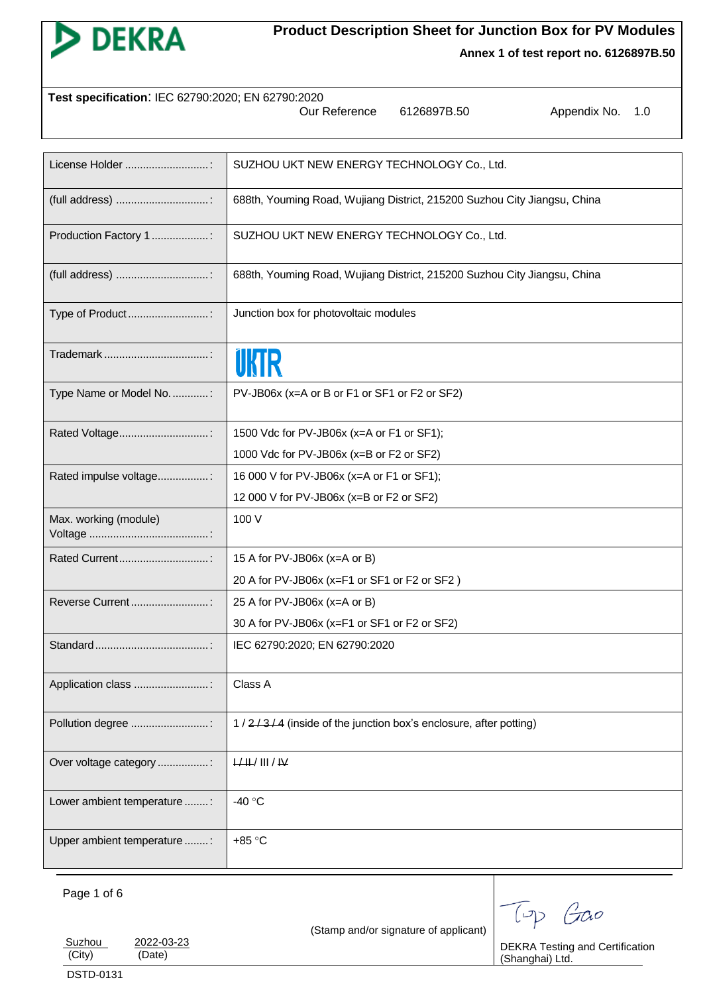

# **Product Description Sheet for Junction Box for PV Modules**

**Annex 1 of test report no. 6126897B.50**

| Test specification: IEC 62790:2020; EN 62790:2020<br>Our Reference<br>Appendix No.<br>6126897B.50<br>1.0 |                                                                          |  |  |  |  |
|----------------------------------------------------------------------------------------------------------|--------------------------------------------------------------------------|--|--|--|--|
|                                                                                                          |                                                                          |  |  |  |  |
| License Holder :                                                                                         | SUZHOU UKT NEW ENERGY TECHNOLOGY Co., Ltd.                               |  |  |  |  |
|                                                                                                          | 688th, Youming Road, Wujiang District, 215200 Suzhou City Jiangsu, China |  |  |  |  |
| Production Factory 1:                                                                                    | SUZHOU UKT NEW ENERGY TECHNOLOGY Co., Ltd.                               |  |  |  |  |
|                                                                                                          | 688th, Youming Road, Wujiang District, 215200 Suzhou City Jiangsu, China |  |  |  |  |
| Type of Product                                                                                          | Junction box for photovoltaic modules                                    |  |  |  |  |
|                                                                                                          |                                                                          |  |  |  |  |
| Type Name or Model No. :                                                                                 | PV-JB06x (x=A or B or F1 or SF1 or F2 or SF2)                            |  |  |  |  |
| Rated Voltage                                                                                            | 1500 Vdc for PV-JB06x (x=A or F1 or SF1);                                |  |  |  |  |
|                                                                                                          | 1000 Vdc for PV-JB06x (x=B or F2 or SF2)                                 |  |  |  |  |
| Rated impulse voltage:                                                                                   | 16 000 V for PV-JB06x (x=A or F1 or SF1);                                |  |  |  |  |
|                                                                                                          | 12 000 V for PV-JB06x (x=B or F2 or SF2)                                 |  |  |  |  |
| Max. working (module)                                                                                    | 100 V                                                                    |  |  |  |  |
| Rated Current                                                                                            | 15 A for PV-JB06x (x=A or B)                                             |  |  |  |  |
|                                                                                                          | 20 A for PV-JB06x (x=F1 or SF1 or F2 or SF2)                             |  |  |  |  |
| Reverse Current                                                                                          | 25 A for PV-JB06x (x=A or B)                                             |  |  |  |  |
|                                                                                                          | 30 A for PV-JB06x (x=F1 or SF1 or F2 or SF2)                             |  |  |  |  |
|                                                                                                          | IEC 62790:2020; EN 62790:2020                                            |  |  |  |  |
| Application class :                                                                                      | Class A                                                                  |  |  |  |  |
| Pollution degree :                                                                                       | 1/2/3/4 (inside of the junction box's enclosure, after potting)          |  |  |  |  |
| Over voltage category :                                                                                  | H/H/H/H                                                                  |  |  |  |  |
| Lower ambient temperature :                                                                              | -40 °C                                                                   |  |  |  |  |
| Upper ambient temperature :                                                                              | +85 °C                                                                   |  |  |  |  |
|                                                                                                          |                                                                          |  |  |  |  |

Page 1 of 6

(Stamp and/or signature of applicant)

Top Gao

Suzhou 2022-03-23<br>
(City) (Date) (Date) DSTD-0131

DEKRA Testing and Certification (Shanghai) Ltd.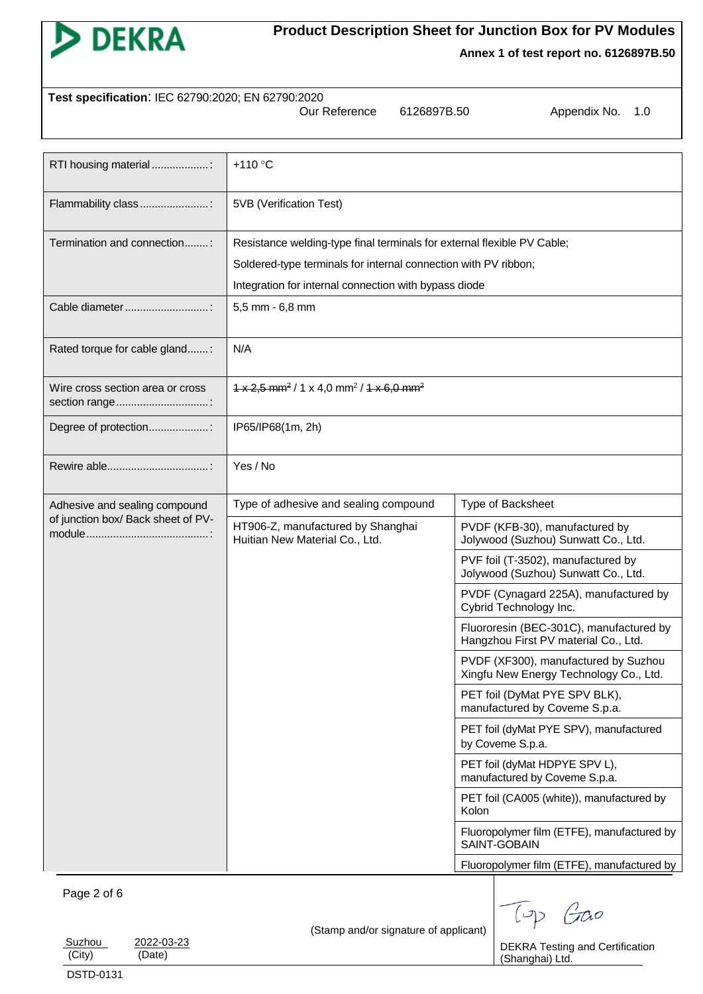

# **Product Description Sheet for Junction Box for PV Modules**

**Annex 1 of test report no. 6126897B.50**

| Test specification: IEC 62790:2020; EN 62790:2020 |               |             |                  |  |  |  |  |
|---------------------------------------------------|---------------|-------------|------------------|--|--|--|--|
|                                                   | Our Reference | 6126897B.50 | Appendix No. 1.0 |  |  |  |  |

| RTI housing material :                            | $+110$ °C                                                                          |                                                                                                                                                                                    |  |  |
|---------------------------------------------------|------------------------------------------------------------------------------------|------------------------------------------------------------------------------------------------------------------------------------------------------------------------------------|--|--|
| Flammability class:                               | 5VB (Verification Test)                                                            |                                                                                                                                                                                    |  |  |
| Termination and connection:                       | Resistance welding-type final terminals for external flexible PV Cable;            |                                                                                                                                                                                    |  |  |
|                                                   | Soldered-type terminals for internal connection with PV ribbon;                    |                                                                                                                                                                                    |  |  |
|                                                   | Integration for internal connection with bypass diode                              |                                                                                                                                                                                    |  |  |
| Cable diameter                                    | 5,5 mm - 6,8 mm                                                                    |                                                                                                                                                                                    |  |  |
| Rated torque for cable gland:                     | N/A                                                                                |                                                                                                                                                                                    |  |  |
| Wire cross section area or cross<br>section range | $1 \times 2.5$ mm <sup>2</sup> / 1 x 4.0 mm <sup>2</sup> / 1 x 6.0 mm <sup>2</sup> |                                                                                                                                                                                    |  |  |
| Degree of protection:                             | IP65/IP68(1m, 2h)                                                                  |                                                                                                                                                                                    |  |  |
|                                                   | Yes / No                                                                           |                                                                                                                                                                                    |  |  |
| Adhesive and sealing compound                     | Type of adhesive and sealing compound                                              | Type of Backsheet                                                                                                                                                                  |  |  |
| of junction box/ Back sheet of PV-                | HT906-Z, manufactured by Shanghai<br>Huitian New Material Co., Ltd.                | PVDF (KFB-30), manufactured by<br>Jolywood (Suzhou) Sunwatt Co., Ltd.                                                                                                              |  |  |
|                                                   |                                                                                    | PVF foil (T-3502), manufactured by<br>Jolywood (Suzhou) Sunwatt Co., Ltd.                                                                                                          |  |  |
|                                                   |                                                                                    | PVDF (Cynagard 225A), manufactured by<br>Cybrid Technology Inc.                                                                                                                    |  |  |
|                                                   |                                                                                    | Fluororesin (BEC-301C), manufactured by<br>Hangzhou First PV material Co., Ltd.                                                                                                    |  |  |
|                                                   |                                                                                    | PVDF (XF300), manufactured by Suzhou<br>Xingfu New Energy Technology Co., Ltd.                                                                                                     |  |  |
|                                                   |                                                                                    | PET foil (DyMat PYE SPV BLK),<br>manufactured by Coveme S.p.a.                                                                                                                     |  |  |
|                                                   |                                                                                    | PET foil (dyMat PYE SPV), manufactured<br>by Coveme S.p.a.<br>PET foil (dyMat HDPYE SPV L),<br>manufactured by Coveme S.p.a.<br>PET foil (CA005 (white)), manufactured by<br>Kolon |  |  |
|                                                   |                                                                                    |                                                                                                                                                                                    |  |  |
|                                                   |                                                                                    |                                                                                                                                                                                    |  |  |
|                                                   | Fluoropolymer film (ETFE), manufactured by<br>SAINT-GOBAIN                         |                                                                                                                                                                                    |  |  |
|                                                   |                                                                                    | Fluoropolymer film (ETFE), manufactured by                                                                                                                                         |  |  |

## Page 2 of 6

|  | (Stamp and/or signature of applicant) |  |
|--|---------------------------------------|--|

Top Goo DEKRA Testing and Certification

(Shanghai) Ltd.

| Suzhou | 2022-03-23 |
|--------|------------|
| (City) | (Date)     |
|        |            |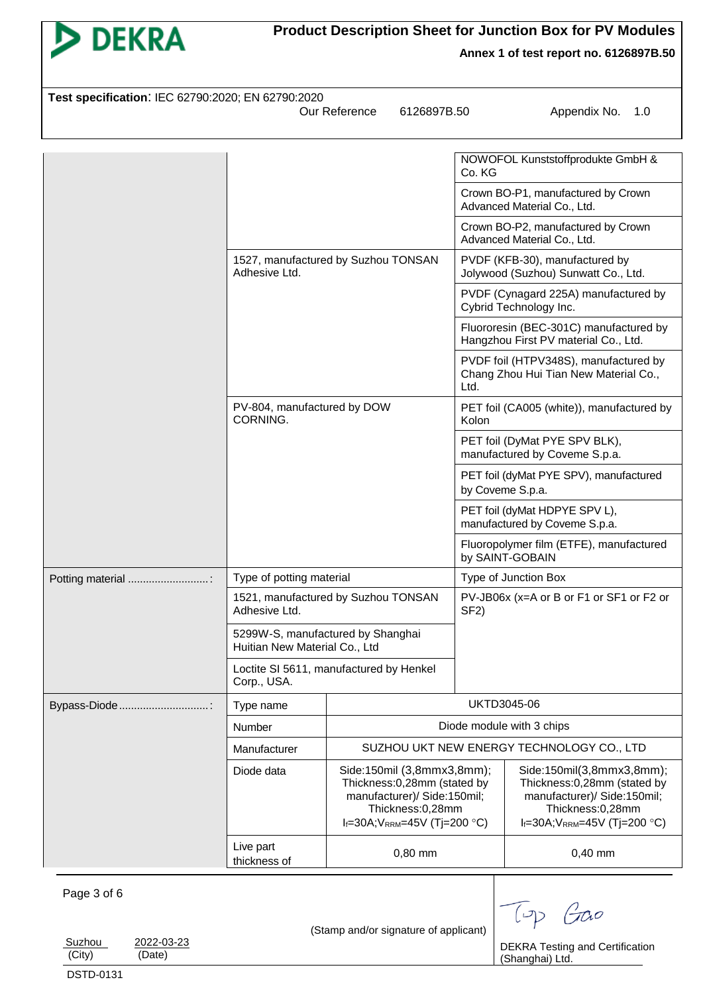

**Product Description Sheet for Junction Box for PV Modules**

| Test specification: IEC 62790:2020; EN 62790:2020<br>Our Reference<br>6126897B.50<br>Appendix No.<br>1.0 |                                                      |                                                                                                                                                                            |                                                                |                                                                                                                                                                |  |
|----------------------------------------------------------------------------------------------------------|------------------------------------------------------|----------------------------------------------------------------------------------------------------------------------------------------------------------------------------|----------------------------------------------------------------|----------------------------------------------------------------------------------------------------------------------------------------------------------------|--|
|                                                                                                          |                                                      |                                                                                                                                                                            | Co. KG                                                         | NOWOFOL Kunststoffprodukte GmbH &                                                                                                                              |  |
|                                                                                                          |                                                      |                                                                                                                                                                            |                                                                | Crown BO-P1, manufactured by Crown<br>Advanced Material Co., Ltd.                                                                                              |  |
|                                                                                                          |                                                      |                                                                                                                                                                            |                                                                | Crown BO-P2, manufactured by Crown<br>Advanced Material Co., Ltd.                                                                                              |  |
|                                                                                                          | Adhesive Ltd.                                        | 1527, manufactured by Suzhou TONSAN                                                                                                                                        |                                                                | PVDF (KFB-30), manufactured by<br>Jolywood (Suzhou) Sunwatt Co., Ltd.                                                                                          |  |
|                                                                                                          |                                                      |                                                                                                                                                                            |                                                                | PVDF (Cynagard 225A) manufactured by<br>Cybrid Technology Inc.                                                                                                 |  |
|                                                                                                          |                                                      |                                                                                                                                                                            |                                                                | Fluororesin (BEC-301C) manufactured by<br>Hangzhou First PV material Co., Ltd.                                                                                 |  |
|                                                                                                          |                                                      |                                                                                                                                                                            | Ltd.                                                           | PVDF foil (HTPV348S), manufactured by<br>Chang Zhou Hui Tian New Material Co.,                                                                                 |  |
|                                                                                                          | PV-804, manufactured by DOW<br>CORNING.              |                                                                                                                                                                            | Kolon                                                          | PET foil (CA005 (white)), manufactured by                                                                                                                      |  |
|                                                                                                          |                                                      |                                                                                                                                                                            | PET foil (DyMat PYE SPV BLK),<br>manufactured by Coveme S.p.a. |                                                                                                                                                                |  |
|                                                                                                          |                                                      |                                                                                                                                                                            | PET foil (dyMat PYE SPV), manufactured<br>by Coveme S.p.a.     |                                                                                                                                                                |  |
|                                                                                                          |                                                      |                                                                                                                                                                            | PET foil (dyMat HDPYE SPV L),<br>manufactured by Coveme S.p.a. |                                                                                                                                                                |  |
|                                                                                                          |                                                      |                                                                                                                                                                            | Fluoropolymer film (ETFE), manufactured<br>by SAINT-GOBAIN     |                                                                                                                                                                |  |
| Potting material                                                                                         |                                                      | Type of potting material                                                                                                                                                   |                                                                | Type of Junction Box                                                                                                                                           |  |
|                                                                                                          | 1521, manufactured by Suzhou TONSAN<br>Adhesive Ltd. |                                                                                                                                                                            | PV-JB06x (x=A or B or F1 or SF1 or F2 or<br>SF <sub>2</sub> )  |                                                                                                                                                                |  |
|                                                                                                          |                                                      | 5299W-S, manufactured by Shanghai<br>Huitian New Material Co., Ltd                                                                                                         |                                                                |                                                                                                                                                                |  |
|                                                                                                          | Corp., USA.                                          | Loctite SI 5611, manufactured by Henkel                                                                                                                                    |                                                                |                                                                                                                                                                |  |
| Bypass-Diode                                                                                             | Type name                                            |                                                                                                                                                                            |                                                                | UKTD3045-06                                                                                                                                                    |  |
|                                                                                                          | Number                                               |                                                                                                                                                                            |                                                                | Diode module with 3 chips                                                                                                                                      |  |
|                                                                                                          | Manufacturer                                         |                                                                                                                                                                            |                                                                | SUZHOU UKT NEW ENERGY TECHNOLOGY CO., LTD                                                                                                                      |  |
|                                                                                                          | Diode data                                           | Side:150mil (3,8mmx3,8mm);<br>Thickness:0,28mm (stated by<br>manufacturer)/ Side:150mil;<br>Thickness:0,28mm<br>$I_f = 30A$ ; V <sub>RRM</sub> =45V (Tj=200 °C)<br>0,80 mm |                                                                | Side:150mil(3,8mmx3,8mm);<br>Thickness:0,28mm (stated by<br>manufacturer)/ Side:150mil;<br>Thickness:0,28mm<br>$I_f = 30A$ ; V <sub>RRM</sub> =45V (Tj=200 °C) |  |
|                                                                                                          | Live part<br>thickness of                            |                                                                                                                                                                            |                                                                | $0,40$ mm                                                                                                                                                      |  |
| Page 3 of 6<br>Suzhou<br>2022-03-23                                                                      |                                                      | (Stamp and/or signature of applicant)                                                                                                                                      |                                                                | $\sqrt{-1}$<br>Goo<br><b>DEKRA Testing and Certification</b>                                                                                                   |  |
| (City)<br>(Date)                                                                                         |                                                      |                                                                                                                                                                            |                                                                | (Shanghai) Ltd.                                                                                                                                                |  |

DSTD-0131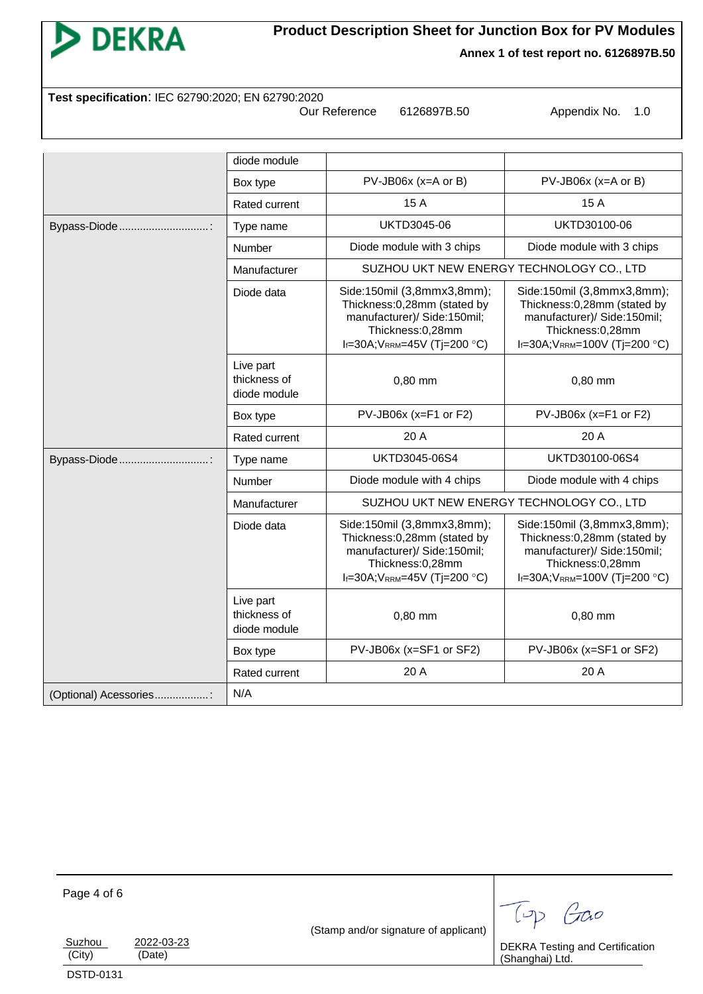

**Product Description Sheet for Junction Box for PV Modules**

**Test specification**: IEC 62790:2020; EN 62790:2020

Our Reference 6126897B.50 Appendix No. 1.0

|                        | diode module                              |                                                                                                                                                                 |                                                                                                                                                                  |
|------------------------|-------------------------------------------|-----------------------------------------------------------------------------------------------------------------------------------------------------------------|------------------------------------------------------------------------------------------------------------------------------------------------------------------|
|                        | Box type                                  | $PV$ -JB06x (x=A or B)                                                                                                                                          | $PV-JB06x$ (x=A or B)                                                                                                                                            |
|                        | Rated current                             | 15 A                                                                                                                                                            | 15 A                                                                                                                                                             |
| Bypass-Diode           | Type name                                 | UKTD3045-06                                                                                                                                                     | UKTD30100-06                                                                                                                                                     |
|                        | Number                                    | Diode module with 3 chips                                                                                                                                       | Diode module with 3 chips                                                                                                                                        |
|                        | Manufacturer                              | SUZHOU UKT NEW ENERGY TECHNOLOGY CO., LTD                                                                                                                       |                                                                                                                                                                  |
|                        | Diode data                                | Side:150mil (3,8mmx3,8mm);<br>Thickness:0,28mm (stated by<br>manufacturer)/ Side:150mil;<br>Thickness:0,28mm<br>$I_f = 30A$ ; V <sub>RRM</sub> =45V (Tj=200 °C) | Side:150mil (3,8mmx3,8mm);<br>Thickness:0,28mm (stated by<br>manufacturer)/ Side:150mil;<br>Thickness:0,28mm<br>$I_f = 30A$ ; V <sub>RRM</sub> =100V (Tj=200 °C) |
|                        | Live part<br>thickness of<br>diode module | $0,80$ mm                                                                                                                                                       | 0,80 mm                                                                                                                                                          |
|                        | Box type                                  | $PV$ -JB06x (x=F1 or F2)                                                                                                                                        | PV-JB06x (x=F1 or F2)                                                                                                                                            |
|                        | Rated current                             | 20 A                                                                                                                                                            | 20 A                                                                                                                                                             |
| Bypass-Diode:          | Type name                                 | UKTD3045-06S4                                                                                                                                                   | UKTD30100-06S4                                                                                                                                                   |
|                        | Number                                    | Diode module with 4 chips                                                                                                                                       | Diode module with 4 chips                                                                                                                                        |
|                        | Manufacturer                              | SUZHOU UKT NEW ENERGY TECHNOLOGY CO., LTD                                                                                                                       |                                                                                                                                                                  |
|                        | Diode data                                | Side:150mil (3,8mmx3,8mm);<br>Thickness:0,28mm (stated by<br>manufacturer)/ Side:150mil;<br>Thickness:0,28mm<br>$I_f = 30A$ ; V <sub>RRM</sub> =45V (Tj=200 °C) | Side:150mil (3,8mmx3,8mm);<br>Thickness:0,28mm (stated by<br>manufacturer)/ Side:150mil;<br>Thickness:0,28mm<br>$I_f = 30A$ ; $V_{RRM} = 100V$ (Tj=200 °C)       |
|                        | Live part<br>thickness of<br>diode module | 0,80 mm                                                                                                                                                         | $0,80$ mm                                                                                                                                                        |
|                        | Box type                                  | PV-JB06x (x=SF1 or SF2)                                                                                                                                         | PV-JB06x (x=SF1 or SF2)                                                                                                                                          |
|                        | Rated current                             | 20 A                                                                                                                                                            | 20 A                                                                                                                                                             |
| (Optional) Acessories: | N/A                                       |                                                                                                                                                                 |                                                                                                                                                                  |

Page 4 of 6 (Stamp and/or signature of applicant) Suzhou 2022-03-23<br>
(City) (Date)  $(Date)$ Top Goo DEKRA Testing and Certification (Shanghai) Ltd. DSTD-0131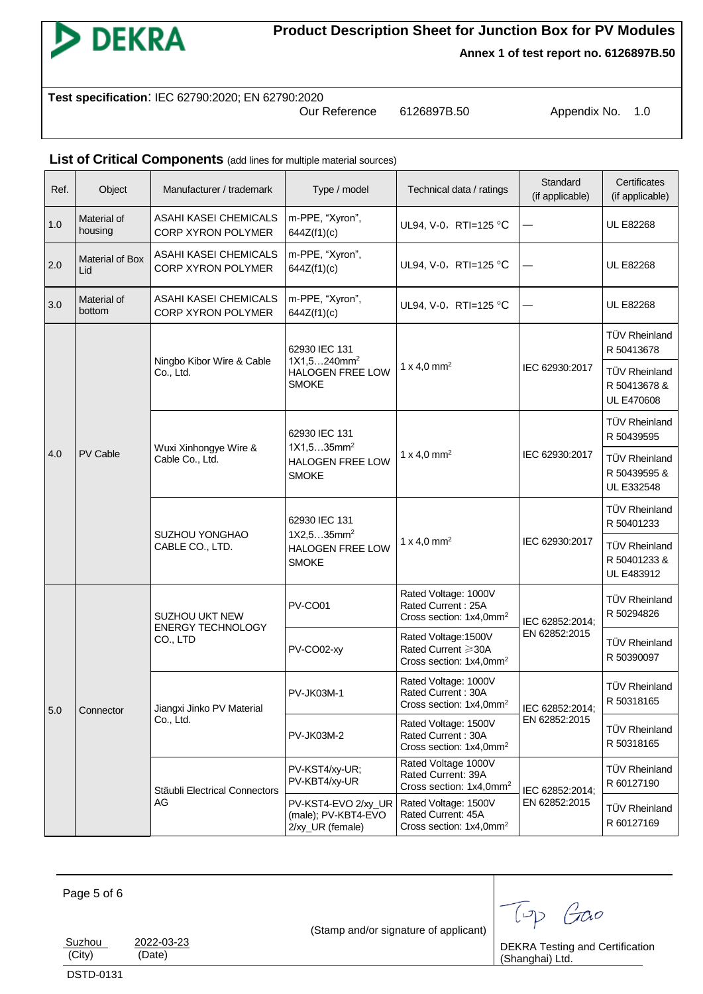

**Test specification**: IEC 62790:2020; EN 62790:2020

Our Reference 6126897B.50 Appendix No. 1.0

#### List of Critical Components (add lines for multiple material sources)

| Ref. | Object                 | Manufacturer / trademark                                                      | Type / model<br>Technical data / ratings                         |                                                                                   | Standard<br>(if applicable)                                                       | Certificates<br>(if applicable)                           |                                    |
|------|------------------------|-------------------------------------------------------------------------------|------------------------------------------------------------------|-----------------------------------------------------------------------------------|-----------------------------------------------------------------------------------|-----------------------------------------------------------|------------------------------------|
| 1.0  | Material of<br>housing | ASAHI KASEI CHEMICALS<br>CORP XYRON POLYMER                                   | m-PPE, "Xyron",<br>644Z(f1)(c)                                   | UL94, V-0, RTI=125 °C                                                             |                                                                                   | <b>UL E82268</b>                                          |                                    |
| 2.0  | Material of Box<br>Lid | ASAHI KASEI CHEMICALS<br>CORP XYRON POLYMER                                   | m-PPE, "Xyron",<br>644Z(f1)(c)                                   | UL94, V-0, RTI=125 °C                                                             |                                                                                   | <b>UL E82268</b>                                          |                                    |
| 3.0  | Material of<br>bottom  | ASAHI KASEI CHEMICALS<br>CORP XYRON POLYMER                                   | m-PPE, "Xyron",<br>644Z(f1)(c)                                   | UL94, V-0, RTI=125 °C                                                             |                                                                                   | <b>UL E82268</b>                                          |                                    |
|      |                        |                                                                               | 62930 IEC 131                                                    |                                                                                   |                                                                                   | TÜV Rheinland<br>R 50413678                               |                                    |
|      |                        | Ningbo Kibor Wire & Cable<br>Co., Ltd.                                        | $1X1,5240mm^2$<br>HALOGEN FREE LOW<br><b>SMOKE</b>               | 1 x 4,0 mm <sup>2</sup>                                                           | IEC 62930:2017                                                                    | <b>TÜV Rheinland</b><br>R 50413678 &<br><b>UL E470608</b> |                                    |
|      |                        | Wuxi Xinhongye Wire &<br>Cable Co., Ltd.<br>SUZHOU YONGHAO<br>CABLE CO., LTD. | 62930 IEC 131                                                    |                                                                                   | IEC 62930:2017                                                                    | <b>TÜV Rheinland</b><br>R 50439595                        |                                    |
| 4.0  | PV Cable               |                                                                               | 1X1,535mm <sup>2</sup><br>HALOGEN FREE LOW<br><b>SMOKE</b>       | 1 x 4,0 mm <sup>2</sup>                                                           |                                                                                   | <b>TÜV Rheinland</b><br>R 50439595 &<br>UL E332548        |                                    |
|      |                        |                                                                               | 62930 IEC 131<br>1X2,535mm <sup>2</sup>                          |                                                                                   | IEC 62930:2017                                                                    | TÜV Rheinland<br>R 50401233                               |                                    |
|      |                        |                                                                               | HALOGEN FREE LOW<br><b>SMOKE</b>                                 | 1 x 4,0 mm <sup>2</sup>                                                           |                                                                                   | <b>TÜV Rheinland</b><br>R 50401233 &<br>UL E483912        |                                    |
|      |                        | SUZHOU UKT NEW<br><b>ENERGY TECHNOLOGY</b>                                    | PV-CO01                                                          | Rated Voltage: 1000V<br>Rated Current: 25A<br>Cross section: 1x4,0mm <sup>2</sup> | IEC 62852:2014;                                                                   | TÜV Rheinland<br>R 50294826                               |                                    |
|      | Connector<br>AG        | CO., LTD                                                                      | PV-CO02-xy                                                       | Rated Voltage: 1500V<br>Rated Current ≥30A<br>Cross section: 1x4,0mm <sup>2</sup> | EN 62852:2015                                                                     | <b>TÜV Rheinland</b><br>R 50390097                        |                                    |
| 5.0  |                        | Jiangxi Jinko PV Material                                                     | <b>PV-JK03M-1</b>                                                | Rated Voltage: 1000V<br>Rated Current: 30A<br>Cross section: 1x4,0mm <sup>2</sup> | IEC 62852:2014;                                                                   | <b>TÜV Rheinland</b><br>R 50318165                        |                                    |
|      |                        | Co., Ltd.                                                                     |                                                                  | <b>PV-JK03M-2</b>                                                                 | Rated Voltage: 1500V<br>Rated Current: 30A<br>Cross section: 1x4,0mm <sup>2</sup> | EN 62852:2015                                             | <b>TÜV Rheinland</b><br>R 50318165 |
|      |                        |                                                                               | PV-KST4/xy-UR;<br>PV-KBT4/xy-UR<br>Stäubli Electrical Connectors |                                                                                   | Rated Voltage 1000V<br>Rated Current: 39A<br>Cross section: 1x4,0mm <sup>2</sup>  | IEC 62852:2014;                                           | TÜV Rheinland<br>R 60127190        |
|      |                        |                                                                               | PV-KST4-EVO 2/xy_UR<br>(male); PV-KBT4-EVO<br>2/xy_UR (female)   | Rated Voltage: 1500V<br>Rated Current: 45A<br>Cross section: 1x4,0mm <sup>2</sup> | EN 62852:2015                                                                     | TÜV Rheinland<br>R 60127169                               |                                    |

Page 5 of 6

(Stamp and/or signature of applicant)

DEKRA Testing and Certification

(Shanghai) Ltd.

DSTD-0131

Suzhou 2022-03-23 (City) (Date)